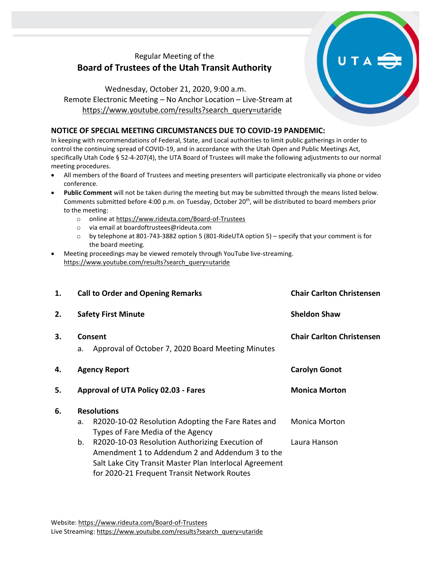## Regular Meeting of the **Board of Trustees of the Utah Transit Authority**

Wednesday, October 21, 2020, 9:00 a.m. Remote Electronic Meeting – No Anchor Location – Live-Stream at [https://www.youtube.com/results?search\\_query=utaride](https://www.youtube.com/results?search_query=utaride)

## **NOTICE OF SPECIAL MEETING CIRCUMSTANCES DUE TO COVID-19 PANDEMIC:**

In keeping with recommendations of Federal, State, and Local authorities to limit public gatherings in order to control the continuing spread of COVID-19, and in accordance with the Utah Open and Public Meetings Act, specifically Utah Code § 52-4-207(4), the UTA Board of Trustees will make the following adjustments to our normal meeting procedures.

- All members of the Board of Trustees and meeting presenters will participate electronically via phone or video conference.
- **Public Comment** will not be taken during the meeting but may be submitted through the means listed below. Comments submitted before 4:00 p.m. on Tuesday, October 20<sup>th</sup>, will be distributed to board members prior to the meeting:
	- o online at<https://www.rideuta.com/Board-of-Trustees>
	- o via email at [boardoftrustees@rideuta.com](mailto:boardoftrustees@rideuta.com)
	- o by telephone at 801-743-3882 option 5 (801-RideUTA option 5) specify that your comment is for the board meeting.
- Meeting proceedings may be viewed remotely through YouTube live-streaming. [https://www.youtube.com/results?search\\_query=utaride](https://www.youtube.com/results?search_query=utaride)

| 1. | <b>Call to Order and Opening Remarks</b>                                                                 | <b>Chair Carlton Christensen</b> |  |  |
|----|----------------------------------------------------------------------------------------------------------|----------------------------------|--|--|
| 2. | <b>Safety First Minute</b>                                                                               | <b>Sheldon Shaw</b>              |  |  |
| 3. | Consent<br>Approval of October 7, 2020 Board Meeting Minutes<br>a.                                       | <b>Chair Carlton Christensen</b> |  |  |
| 4. | <b>Agency Report</b>                                                                                     | <b>Carolyn Gonot</b>             |  |  |
| 5. | Approval of UTA Policy 02.03 - Fares                                                                     | <b>Monica Morton</b>             |  |  |
| 6. | <b>Resolutions</b>                                                                                       |                                  |  |  |
|    | R2020-10-02 Resolution Adopting the Fare Rates and<br>a.<br>Types of Fare Media of the Agency            | Monica Morton                    |  |  |
|    | R2020-10-03 Resolution Authorizing Execution of<br>b.<br>Amendment 1 to Addendum 2 and Addendum 3 to the | Laura Hanson                     |  |  |